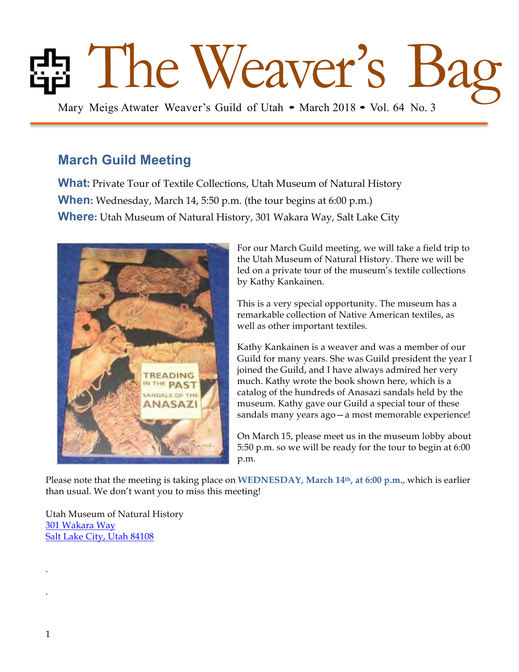# Fig. The Weaver's Guild of Utah • March 2018 • Vol. 64 No. 3

## **March Guild Meeting**

**What:** Private Tour of Textile Collections, Utah Museum of Natural History **When:** Wednesday, March 14, 5:50 p.m. (the tour begins at 6:00 p.m.) **Where:** Utah Museum of Natural History, 301 Wakara Way, Salt Lake City



For our March Guild meeting, we will take a field trip to the Utah Museum of Natural History. There we will be led on a private tour of the museum's textile collections by Kathy Kankainen.

This is a very special opportunity. The museum has a remarkable collection of Native American textiles, as well as other important textiles.

Kathy Kankainen is a weaver and was a member of our Guild for many years. She was Guild president the year I joined the Guild, and I have always admired her very much. Kathy wrote the book shown here, which is a catalog of the hundreds of Anasazi sandals held by the museum. Kathy gave our Guild a special tour of these sandals many years ago—a most memorable experience!

On March 15, please meet us in the museum lobby about 5:50 p.m. so we will be ready for the tour to begin at 6:00 p.m.

Please note that the meeting is taking place on **WEDNESDAY, March 14th, at 6:00 p.m.,** which is earlier than usual. We don't want you to miss this meeting!

Utah Museum of Natural History 301 Wakara Way Salt Lake City, Utah 84108

.

.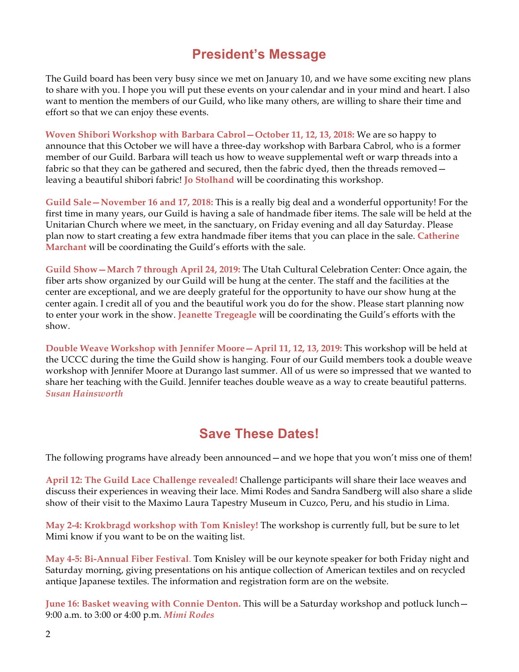## **President's Message**

The Guild board has been very busy since we met on January 10, and we have some exciting new plans to share with you. I hope you will put these events on your calendar and in your mind and heart. I also want to mention the members of our Guild, who like many others, are willing to share their time and effort so that we can enjoy these events.

**Woven Shibori Workshop with Barbara Cabrol—October 11, 12, 13, 2018:** We are so happy to announce that this October we will have a three-day workshop with Barbara Cabrol, who is a former member of our Guild. Barbara will teach us how to weave supplemental weft or warp threads into a fabric so that they can be gathered and secured, then the fabric dyed, then the threads removed leaving a beautiful shibori fabric! **Jo Stolhand** will be coordinating this workshop.

**Guild Sale—November 16 and 17, 2018:** This is a really big deal and a wonderful opportunity! For the first time in many years, our Guild is having a sale of handmade fiber items. The sale will be held at the Unitarian Church where we meet, in the sanctuary, on Friday evening and all day Saturday. Please plan now to start creating a few extra handmade fiber items that you can place in the sale. **Catherine Marchant** will be coordinating the Guild's efforts with the sale.

**Guild Show—March 7 through April 24, 2019:** The Utah Cultural Celebration Center: Once again, the fiber arts show organized by our Guild will be hung at the center. The staff and the facilities at the center are exceptional, and we are deeply grateful for the opportunity to have our show hung at the center again. I credit all of you and the beautiful work you do for the show. Please start planning now to enter your work in the show. **Jeanette Tregeagle** will be coordinating the Guild's efforts with the show.

**Double Weave Workshop with Jennifer Moore—April 11, 12, 13, 2019:** This workshop will be held at the UCCC during the time the Guild show is hanging. Four of our Guild members took a double weave workshop with Jennifer Moore at Durango last summer. All of us were so impressed that we wanted to share her teaching with the Guild. Jennifer teaches double weave as a way to create beautiful patterns. *Susan Hainsworth*

## **Save These Dates!**

The following programs have already been announced—and we hope that you won't miss one of them!

**April 12: The Guild Lace Challenge revealed!** Challenge participants will share their lace weaves and discuss their experiences in weaving their lace. Mimi Rodes and Sandra Sandberg will also share a slide show of their visit to the Maximo Laura Tapestry Museum in Cuzco, Peru, and his studio in Lima.

**May 2-4: Krokbragd workshop with Tom Knisley!** The workshop is currently full, but be sure to let Mimi know if you want to be on the waiting list.

**May 4-5: Bi-Annual Fiber Festival**. Tom Knisley will be our keynote speaker for both Friday night and Saturday morning, giving presentations on his antique collection of American textiles and on recycled antique Japanese textiles. The information and registration form are on the website.

**June 16: Basket weaving with Connie Denton.** This will be a Saturday workshop and potluck lunch— 9:00 a.m. to 3:00 or 4:00 p.m. *Mimi Rodes*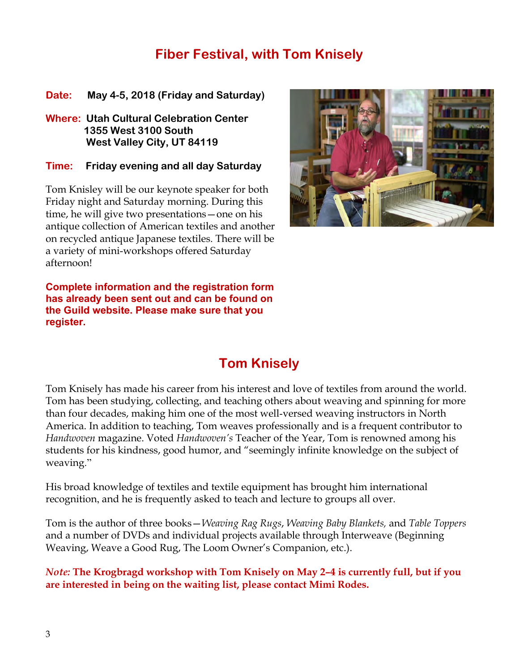## **Fiber Festival, with Tom Knisely**

**Date: May 4-5, 2018 (Friday and Saturday)**

**Where: Utah Cultural Celebration Center 1355 West 3100 South West Valley City, UT 84119**

**Time: Friday evening and all day Saturday**

Tom Knisley will be our keynote speaker for both Friday night and Saturday morning. During this time, he will give two presentations—one on his antique collection of American textiles and another on recycled antique Japanese textiles. There will be a variety of mini-workshops offered Saturday afternoon!



**Complete information and the registration form has already been sent out and can be found on the Guild website. Please make sure that you register.**

## **Tom Knisely**

Tom Knisely has made his career from his interest and love of textiles from around the world. Tom has been studying, collecting, and teaching others about weaving and spinning for more than four decades, making him one of the most well-versed weaving instructors in North America. In addition to teaching, Tom weaves professionally and is a frequent contributor to *Handwoven* magazine. Voted *Handwoven's* Teacher of the Year, Tom is renowned among his students for his kindness, good humor, and "seemingly infinite knowledge on the subject of weaving."

His broad knowledge of textiles and textile equipment has brought him international recognition, and he is frequently asked to teach and lecture to groups all over.

Tom is the author of three books—*Weaving Rag Rugs*, *Weaving Baby Blankets,* and *Table Toppers* and a number of DVDs and individual projects available through Interweave (Beginning Weaving, Weave a Good Rug, The Loom Owner's Companion, etc.).

*Note:* **The Krogbragd workshop with Tom Knisely on May 2–4 is currently full, but if you are interested in being on the waiting list, please contact Mimi Rodes.**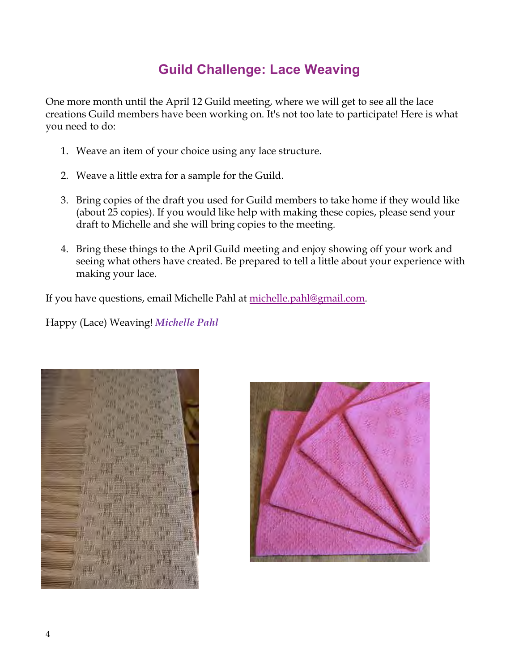# **Guild Challenge: Lace Weaving**

One more month until the April 12 Guild meeting, where we will get to see all the lace creations Guild members have been working on. It's not too late to participate! Here is what you need to do:

- 1. Weave an item of your choice using any lace structure.
- 2. Weave a little extra for a sample for the Guild.
- 3. Bring copies of the draft you used for Guild members to take home if they would like (about 25 copies). If you would like help with making these copies, please send your draft to Michelle and she will bring copies to the meeting.
- 4. Bring these things to the April Guild meeting and enjoy showing off your work and seeing what others have created. Be prepared to tell a little about your experience with making your lace.

If you have questions, email Michelle Pahl at michelle.pahl@gmail.com.

Happy (Lace) Weaving! *Michelle Pahl*



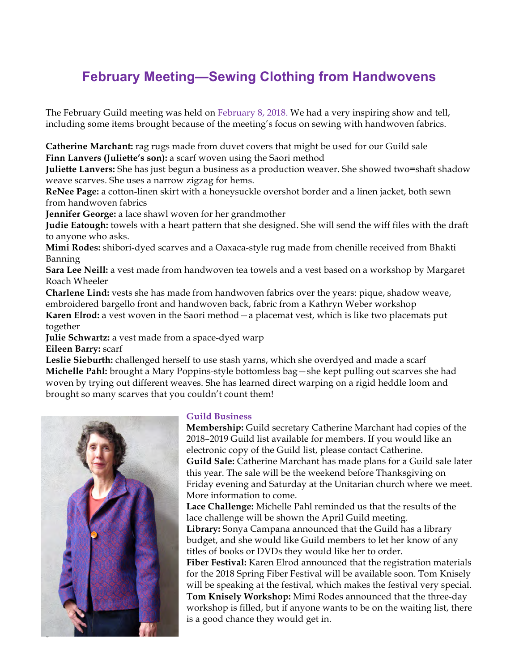# **February Meeting—Sewing Clothing from Handwovens**

The February Guild meeting was held on February 8, 2018. We had a very inspiring show and tell, including some items brought because of the meeting's focus on sewing with handwoven fabrics.

**Catherine Marchant:** rag rugs made from duvet covers that might be used for our Guild sale **Finn Lanvers (Juliette's son):** a scarf woven using the Saori method

**Juliette Lanvers:** She has just begun a business as a production weaver. She showed two=shaft shadow weave scarves. She uses a narrow zigzag for hems.

**ReNee Page:** a cotton-linen skirt with a honeysuckle overshot border and a linen jacket, both sewn from handwoven fabrics

**Jennifer George:** a lace shawl woven for her grandmother

**Judie Eatough:** towels with a heart pattern that she designed. She will send the wiff files with the draft to anyone who asks.

**Mimi Rodes:** shibori-dyed scarves and a Oaxaca-style rug made from chenille received from Bhakti Banning

**Sara Lee Neill:** a vest made from handwoven tea towels and a vest based on a workshop by Margaret Roach Wheeler

**Charlene Lind:** vests she has made from handwoven fabrics over the years: pique, shadow weave, embroidered bargello front and handwoven back, fabric from a Kathryn Weber workshop

**Karen Elrod:** a vest woven in the Saori method—a placemat vest, which is like two placemats put together

**Julie Schwartz:** a vest made from a space-dyed warp

**Eileen Barry:** scarf

Leslie Sieburth: challenged herself to use stash yarns, which she overdyed and made a scarf **Michelle Pahl:** brought a Mary Poppins-style bottomless bag—she kept pulling out scarves she had woven by trying out different weaves. She has learned direct warping on a rigid heddle loom and brought so many scarves that you couldn't count them!



#### **Guild Business**

**Membership:** Guild secretary Catherine Marchant had copies of the 2018–2019 Guild list available for members. If you would like an electronic copy of the Guild list, please contact Catherine. **Guild Sale:** Catherine Marchant has made plans for a Guild sale later this year. The sale will be the weekend before Thanksgiving on Friday evening and Saturday at the Unitarian church where we meet. More information to come.

**Lace Challenge:** Michelle Pahl reminded us that the results of the lace challenge will be shown the April Guild meeting.

**Library:** Sonya Campana announced that the Guild has a library budget, and she would like Guild members to let her know of any titles of books or DVDs they would like her to order.

**Fiber Festival:** Karen Elrod announced that the registration materials for the 2018 Spring Fiber Festival will be available soon. Tom Knisely will be speaking at the festival, which makes the festival very special. **Tom Knisely Workshop:** Mimi Rodes announced that the three-day workshop is filled, but if anyone wants to be on the waiting list, there is a good chance they would get in.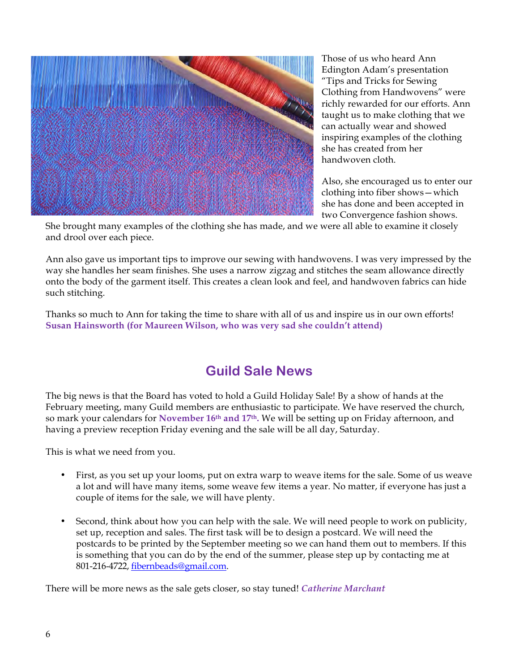

Those of us who heard Ann Edington Adam's presentation "Tips and Tricks for Sewing Clothing from Handwovens" were richly rewarded for our efforts. Ann taught us to make clothing that we can actually wear and showed inspiring examples of the clothing she has created from her handwoven cloth.

Also, she encouraged us to enter our clothing into fiber shows—which she has done and been accepted in two Convergence fashion shows.

She brought many examples of the clothing she has made, and we were all able to examine it closely and drool over each piece.

Ann also gave us important tips to improve our sewing with handwovens. I was very impressed by the way she handles her seam finishes. She uses a narrow zigzag and stitches the seam allowance directly onto the body of the garment itself. This creates a clean look and feel, and handwoven fabrics can hide such stitching.

Thanks so much to Ann for taking the time to share with all of us and inspire us in our own efforts! **Susan Hainsworth (for Maureen Wilson, who was very sad she couldn't attend)**

## **Guild Sale News**

The big news is that the Board has voted to hold a Guild Holiday Sale! By a show of hands at the February meeting, many Guild members are enthusiastic to participate. We have reserved the church, so mark your calendars for **November 16th and 17th.** We will be setting up on Friday afternoon, and having a preview reception Friday evening and the sale will be all day, Saturday.

This is what we need from you.

- First, as you set up your looms, put on extra warp to weave items for the sale. Some of us weave a lot and will have many items, some weave few items a year. No matter, if everyone has just a couple of items for the sale, we will have plenty.
- Second, think about how you can help with the sale. We will need people to work on publicity, set up, reception and sales. The first task will be to design a postcard. We will need the postcards to be printed by the September meeting so we can hand them out to members. If this is something that you can do by the end of the summer, please step up by contacting me at 801-216-4722, fibernbeads@gmail.com.

There will be more news as the sale gets closer, so stay tuned! *Catherine Marchant*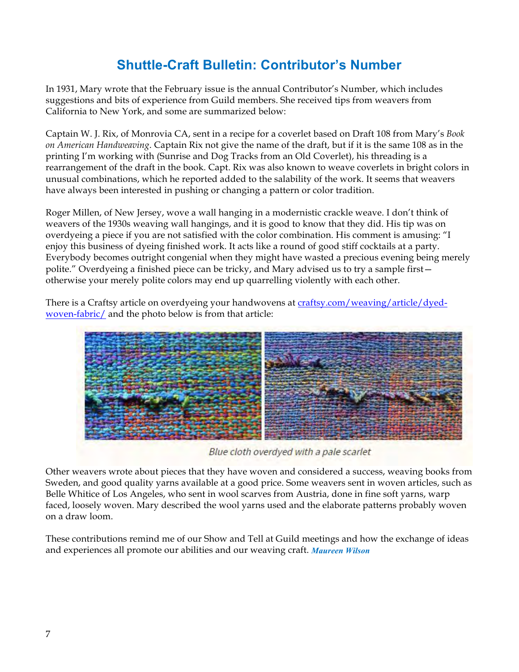# **Shuttle-Craft Bulletin: Contributor's Number**

In 1931, Mary wrote that the February issue is the annual Contributor's Number, which includes suggestions and bits of experience from Guild members. She received tips from weavers from California to New York, and some are summarized below:

Captain W. J. Rix, of Monrovia CA, sent in a recipe for a coverlet based on Draft 108 from Mary's *Book on American Handweaving*. Captain Rix not give the name of the draft, but if it is the same 108 as in the printing I'm working with (Sunrise and Dog Tracks from an Old Coverlet), his threading is a rearrangement of the draft in the book. Capt. Rix was also known to weave coverlets in bright colors in unusual combinations, which he reported added to the salability of the work. It seems that weavers have always been interested in pushing or changing a pattern or color tradition.

Roger Millen, of New Jersey, wove a wall hanging in a modernistic crackle weave. I don't think of weavers of the 1930s weaving wall hangings, and it is good to know that they did. His tip was on overdyeing a piece if you are not satisfied with the color combination. His comment is amusing: "I enjoy this business of dyeing finished work. It acts like a round of good stiff cocktails at a party. Everybody becomes outright congenial when they might have wasted a precious evening being merely polite." Overdyeing a finished piece can be tricky, and Mary advised us to try a sample first otherwise your merely polite colors may end up quarrelling violently with each other.

There is a Craftsy article on overdyeing your handwovens at craftsy.com/weaving/article/dyedwoven-fabric/ and the photo below is from that article:



Blue cloth overdyed with a pale scarlet

Other weavers wrote about pieces that they have woven and considered a success, weaving books from Sweden, and good quality yarns available at a good price. Some weavers sent in woven articles, such as Belle Whitice of Los Angeles, who sent in wool scarves from Austria, done in fine soft yarns, warp faced, loosely woven. Mary described the wool yarns used and the elaborate patterns probably woven on a draw loom.

These contributions remind me of our Show and Tell at Guild meetings and how the exchange of ideas and experiences all promote our abilities and our weaving craft. *Maureen Wilson*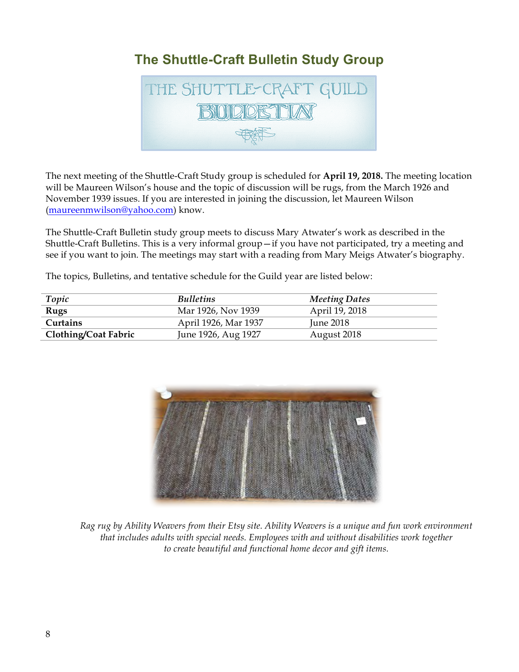# **The Shuttle-Craft Bulletin Study Group**



The next meeting of the Shuttle-Craft Study group is scheduled for **April 19, 2018.** The meeting location will be Maureen Wilson's house and the topic of discussion will be rugs, from the March 1926 and November 1939 issues. If you are interested in joining the discussion, let Maureen Wilson (maureenmwilson@yahoo.com) know.

The Shuttle-Craft Bulletin study group meets to discuss Mary Atwater's work as described in the Shuttle-Craft Bulletins. This is a very informal group—if you have not participated, try a meeting and see if you want to join. The meetings may start with a reading from Mary Meigs Atwater's biography.

The topics, Bulletins, and tentative schedule for the Guild year are listed below:

| Topic                       | <b>Bulletins</b>     | <b>Meeting Dates</b> |
|-----------------------------|----------------------|----------------------|
| Rugs                        | Mar 1926, Nov 1939   | April 19, 2018       |
| Curtains                    | April 1926, Mar 1937 | <b>Iune 2018</b>     |
| <b>Clothing/Coat Fabric</b> | June 1926, Aug 1927  | August 2018          |



*Rag rug by Ability Weavers from their Etsy site. Ability Weavers is a unique and fun work environment that includes adults with special needs. Employees with and without disabilities work together to create beautiful and functional home decor and gift items.*